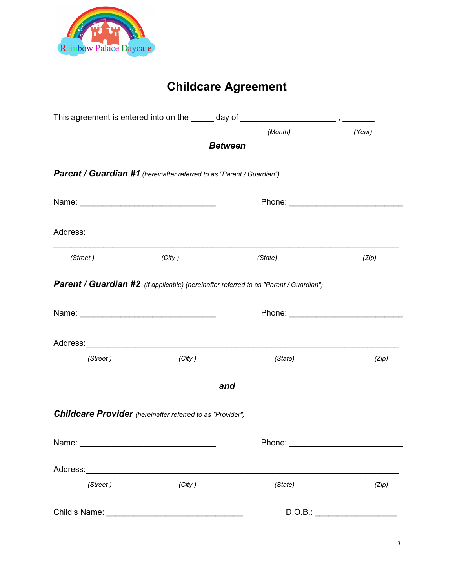

# **Childcare Agreement**

|          |                                                                       | (Month)                                                                               | (Year)  |
|----------|-----------------------------------------------------------------------|---------------------------------------------------------------------------------------|---------|
|          |                                                                       | <b>Between</b>                                                                        |         |
|          | Parent / Guardian #1 (hereinafter referred to as "Parent / Guardian") |                                                                                       |         |
|          |                                                                       |                                                                                       |         |
| Address: |                                                                       |                                                                                       |         |
| (Street) | (City)                                                                | (State)                                                                               | (Zip)   |
|          |                                                                       | Parent / Guardian #2 (if applicable) (hereinafter referred to as "Parent / Guardian") |         |
|          |                                                                       |                                                                                       |         |
|          |                                                                       |                                                                                       |         |
| (Street) | (City)                                                                | (State)                                                                               | (Zip)   |
|          |                                                                       | and                                                                                   |         |
|          | <b>Childcare Provider</b> (hereinafter referred to as "Provider")     |                                                                                       |         |
|          |                                                                       |                                                                                       |         |
|          |                                                                       |                                                                                       |         |
| (Street) | (City)                                                                | (State)                                                                               | (Zip)   |
|          |                                                                       |                                                                                       | D.O.B.: |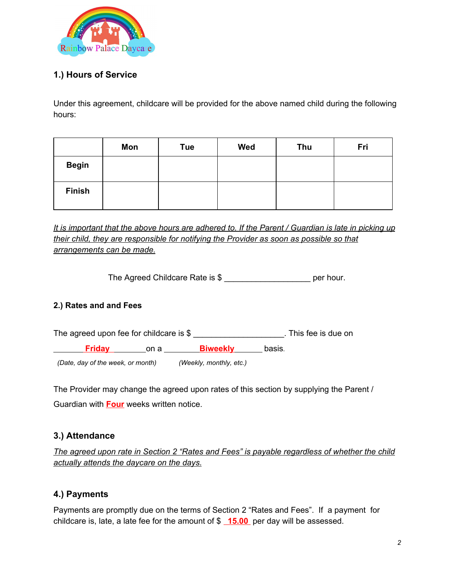

#### **1.) Hours of Service**

Under this agreement, childcare will be provided for the above named child during the following hours:

|               | Mon | Tue | Wed | Thu | Fri |
|---------------|-----|-----|-----|-----|-----|
| <b>Begin</b>  |     |     |     |     |     |
| <b>Finish</b> |     |     |     |     |     |

It is important that the above hours are adhered to. If the Parent / Guardian is late in picking up *their child, they are responsible for notifying the Provider as soon as possible so that arrangements can be made.*

The Agreed Childcare Rate is \$ \_\_\_\_\_\_\_\_\_\_\_\_\_\_\_\_\_\_\_\_\_\_\_\_ per hour.

#### **2.) Rates and and Fees**

| The agreed upon fee for childcare is $$$ |                                   |                         |        | . This fee is due on |
|------------------------------------------|-----------------------------------|-------------------------|--------|----------------------|
| <b>Friday</b>                            | on a                              | <b>Biweekly</b>         | basis. |                      |
|                                          | (Date, day of the week, or month) | (Weekly, monthly, etc.) |        |                      |

The Provider may change the agreed upon rates of this section by supplying the Parent / Guardian with **Four** weeks written notice.

#### **3.) Attendance**

*The agreed upon rate in Section 2 "Rates and Fees" is payable regardless of whether the child actually attends the daycare on the days.*

#### **4.) Payments**

Payments are promptly due on the terms of Section 2 "Rates and Fees". If a payment for childcare is, late, a late fee for the amount of \$ **15.00** per day will be assessed.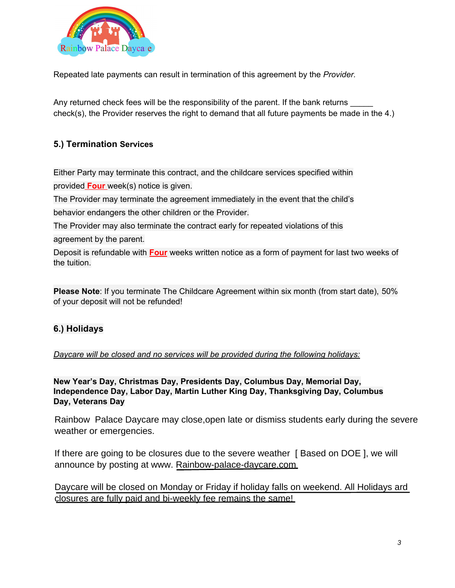

Repeated late payments can result in termination of this agreement by the *Provider.*

Any returned check fees will be the responsibility of the parent. If the bank returns check(s), the Provider reserves the right to demand that all future payments be made in the 4.)

#### **5.) Termination Services**

Either Party may terminate this contract, and the childcare services specified within provided **Four** week(s) notice is given.

The Provider may terminate the agreement immediately in the event that the child's behavior endangers the other children or the Provider.

The Provider may also terminate the contract early for repeated violations of this agreement by the parent.

Deposit is refundable with **Four** weeks written notice as a form of payment for last two weeks of the tuition.

**Please Note**: If you terminate The Childcare Agreement within six month (from start date), 50% of your deposit will not be refunded!

#### **6.) Holidays**

*Daycare will be closed and no services will be provided during the following holidays:*

**New Year's Day, Christmas Day, Presidents Day, Columbus Day, Memorial Day, Independence Day, Labor Day, Martin Luther King Day, T hanksgiving Day, Columbus Day, Veterans Day**

Ladybug Daycare may close, open late or dismiss students early during the severe weather or Rainbow Palace Daycare may close, open late or dismiss students early during the severe weather or emergencies.

If there are going to be closures due to the severe weather [ Based on DOE ], we will announce by posting at www. Rainbow-palace-daycare.com

*closures are fully paid and bi-weekly fee remains the same!* Daycare will be closed on Monday or Friday if holiday falls on weekend. All Holidays ard closures are fully paid and bi-weekly fee remains the same!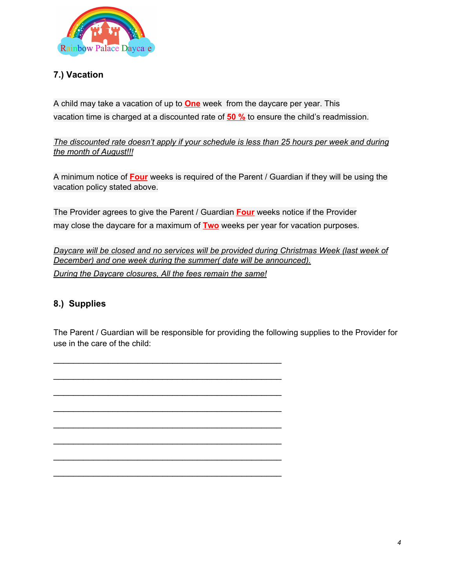

### **7.) Vacation**

A child may take a vacation of up to **One** week from the daycare per year. This vacation time is charged at a discounted rate of **50 %** to ensure the child's readmission.

*The discounted rate doesn't apply if your schedule is less than 25 hours per week and during the month of August!!!*

A minimum notice of **Four** weeks is required of the Parent / Guardian if they will be using the vacation policy stated above.

The Provider agrees to give the Parent / Guardian **Four** weeks notice if the Provider may close the daycare for a maximum of **Two** weeks per year for vacation purposes.

*Daycare will be closed and no services will be provided during Christmas Week (last week of December) and one week during the summer( date will be announced). During the Daycare closures, All the fees remain the same!*

#### **8.) Supplies**

The Parent / Guardian will be responsible for providing the following supplies to the Provider for use in the care of the child:

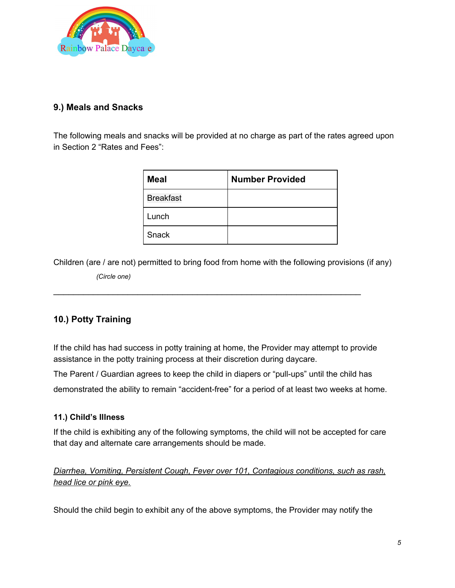

#### **9.) Meals and Snacks**

The following meals and snacks will be provided at no charge as part of the rates agreed upon in Section 2 "Rates and Fees":

| <b>Meal</b>      | <b>Number Provided</b> |
|------------------|------------------------|
| <b>Breakfast</b> |                        |
| Lunch            |                        |
| Snack            |                        |

Children (are / are not) permitted to bring food from home with the following provisions (if any)

\_\_\_\_\_\_\_\_\_\_\_\_\_\_\_\_\_\_\_\_\_\_\_\_\_\_\_\_\_\_\_\_\_\_\_\_\_\_\_\_\_\_\_\_\_\_\_\_\_\_\_\_\_\_\_\_\_\_\_\_\_\_

 *(Circle one)*

#### **10.) Potty Training**

If the child has had success in potty training at home, the Provider may attempt to provide assistance in the potty training process at their discretion during daycare.

The Parent / Guardian agrees to keep the child in diapers or "pull-ups" until the child has

demonstrated the ability to remain "accident-free" for a period of at least two weeks at home.

#### **11.) Child's Illness**

If the child is exhibiting any of the following symptoms, the child will not be accepted for care that day and alternate care arrangements should be made.

*Diarrhea, Vomiting, Persistent Cough, Fever over 101, Contagious conditions, such as rash, head lice or pink eye.*

Should the child begin to exhibit any of the above symptoms, the Provider may notify the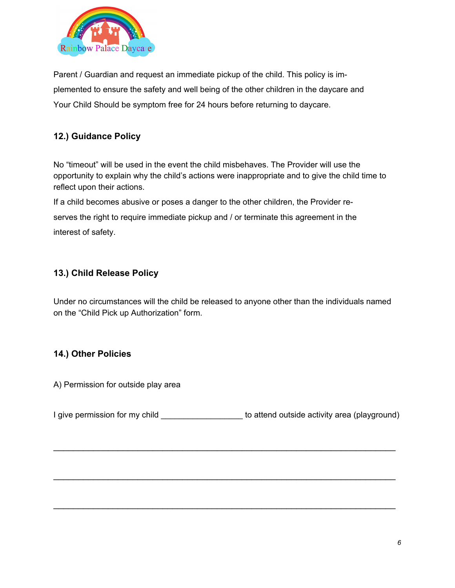

Parent / Guardian and request an immediate pickup of the child. This policy is implemented to ensure the safety and well being of the other children in the daycare and Your Child Should be symptom free for 24 hours before returning to daycare.

#### **12.) Guidance Policy**

No "timeout" will be used in the event the child misbehaves. The Provider will use the opportunity to explain why the child's actions were inappropriate and to give the child time to reflect upon their actions.

If a child becomes abusive or poses a danger to the other children, the Provider reserves the right to require immediate pickup and / or terminate this agreement in the interest of safety.

#### **13.) Child Release Policy**

Under no circumstances will the child be released to anyone other than the individuals named on the "Child Pick up Authorization" form.

#### **14.) Other Policies**

A) Permission for outside play area

I give permission for my child **Example 20** to attend outside activity area (playground)

\_\_\_\_\_\_\_\_\_\_\_\_\_\_\_\_\_\_\_\_\_\_\_\_\_\_\_\_\_\_\_\_\_\_\_\_\_\_\_\_\_\_\_\_\_\_\_\_\_\_\_\_\_\_\_\_\_\_\_\_\_\_\_\_\_\_\_\_\_

\_\_\_\_\_\_\_\_\_\_\_\_\_\_\_\_\_\_\_\_\_\_\_\_\_\_\_\_\_\_\_\_\_\_\_\_\_\_\_\_\_\_\_\_\_\_\_\_\_\_\_\_\_\_\_\_\_\_\_\_\_\_\_\_\_\_\_\_\_

\_\_\_\_\_\_\_\_\_\_\_\_\_\_\_\_\_\_\_\_\_\_\_\_\_\_\_\_\_\_\_\_\_\_\_\_\_\_\_\_\_\_\_\_\_\_\_\_\_\_\_\_\_\_\_\_\_\_\_\_\_\_\_\_\_\_\_\_\_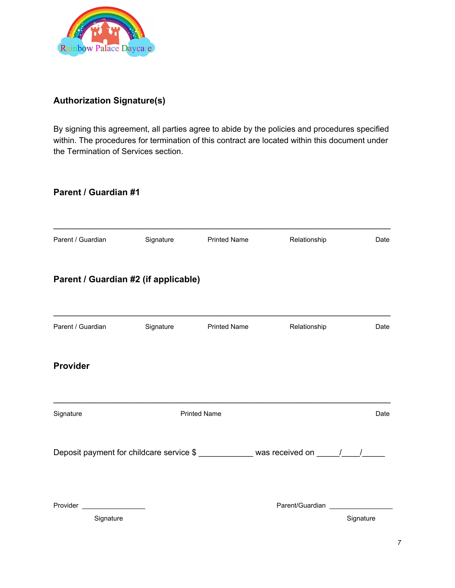

#### **Authorization Signature(s)**

By signing this agreement, all parties agree to abide by the policies and procedures specified within. The procedures for termination of this contract are located within this document under the Termination of Services section.

#### **Parent / Guardian #1**

| Parent / Guardian                          | Signature | <b>Printed Name</b> | Relationship                                                                       | Date      |
|--------------------------------------------|-----------|---------------------|------------------------------------------------------------------------------------|-----------|
| Parent / Guardian #2 (if applicable)       |           |                     |                                                                                    |           |
| Parent / Guardian                          | Signature | <b>Printed Name</b> | Relationship                                                                       | Date      |
| <b>Provider</b>                            |           |                     |                                                                                    |           |
| Signature                                  |           | <b>Printed Name</b> |                                                                                    | Date      |
|                                            |           |                     | Deposit payment for childcare service \$ _____________ was received on _____/____/ |           |
| Provider ____________________<br>Signature |           |                     | Parent/Guardian __________                                                         | Signature |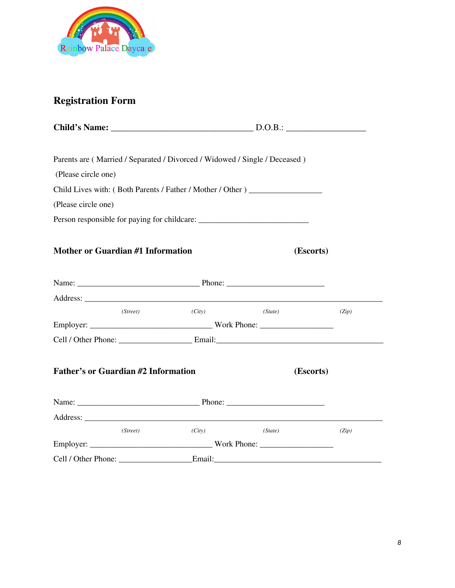

## **Registration Form**

| (Please circle one)                        |          |        | Parents are (Married / Separated / Divorced / Widowed / Single / Deceased)        |       |
|--------------------------------------------|----------|--------|-----------------------------------------------------------------------------------|-------|
|                                            |          |        | Child Lives with: (Both Parents / Father / Mother / Other )                       |       |
| (Please circle one)                        |          |        |                                                                                   |       |
|                                            |          |        | Person responsible for paying for childcare: ___________________________________  |       |
| Mother or Guardian #1 Information          |          |        | (Escorts)                                                                         |       |
|                                            |          |        |                                                                                   |       |
|                                            |          |        |                                                                                   |       |
|                                            | (Street) | (City) | (State)                                                                           | (Zip) |
|                                            |          |        |                                                                                   |       |
|                                            |          |        |                                                                                   |       |
| <b>Father's or Guardian #2 Information</b> |          |        | (Escorts)                                                                         |       |
|                                            |          |        |                                                                                   |       |
|                                            |          |        |                                                                                   |       |
|                                            | (Street) | (City) | (State)                                                                           | (Zip) |
|                                            |          |        |                                                                                   |       |
|                                            |          |        | Cell / Other Phone: _____________________Email:__________________________________ |       |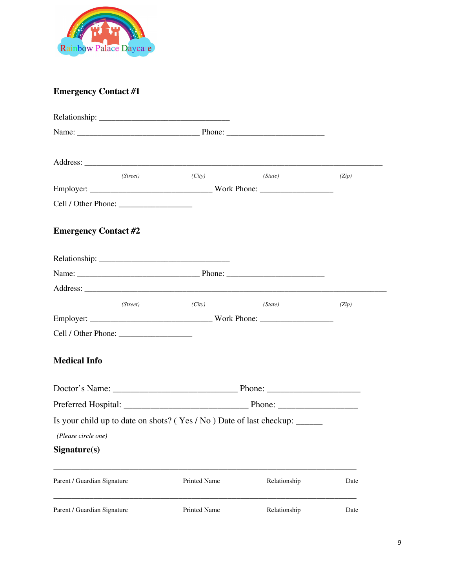

## **Emergency Contact #1**

| (Street)                                                                   | (City)              | (State)      | (Zip) |
|----------------------------------------------------------------------------|---------------------|--------------|-------|
|                                                                            |                     |              |       |
|                                                                            |                     |              |       |
| <b>Emergency Contact #2</b>                                                |                     |              |       |
|                                                                            |                     |              |       |
|                                                                            |                     |              |       |
|                                                                            |                     |              |       |
| (Street)                                                                   | (City)              | (State)      | (Zip) |
|                                                                            |                     |              |       |
|                                                                            |                     |              |       |
| <b>Medical Info</b>                                                        |                     |              |       |
|                                                                            |                     |              |       |
|                                                                            |                     |              |       |
| Is your child up to date on shots? (Yes / No) Date of last checkup: ______ |                     |              |       |
| (Please circle one)                                                        |                     |              |       |
| Signature(s)                                                               |                     |              |       |
| Parent / Guardian Signature                                                | <b>Printed Name</b> | Relationship | Date  |
| Parent / Guardian Signature                                                | Printed Name        | Relationship | Date  |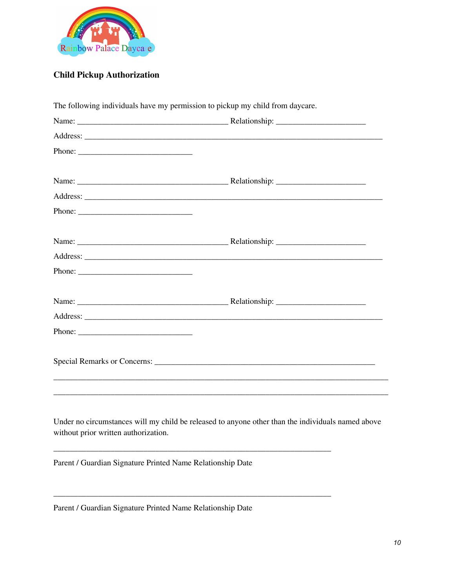

## **Child Pickup Authorization**

| The following individuals have my permission to pickup my child from daycare. |                                                                                                   |
|-------------------------------------------------------------------------------|---------------------------------------------------------------------------------------------------|
|                                                                               |                                                                                                   |
|                                                                               |                                                                                                   |
|                                                                               |                                                                                                   |
|                                                                               |                                                                                                   |
|                                                                               |                                                                                                   |
|                                                                               |                                                                                                   |
|                                                                               |                                                                                                   |
|                                                                               |                                                                                                   |
|                                                                               |                                                                                                   |
|                                                                               |                                                                                                   |
|                                                                               |                                                                                                   |
|                                                                               |                                                                                                   |
|                                                                               |                                                                                                   |
|                                                                               |                                                                                                   |
| without prior written authorization.                                          | Under no circumstances will my child be released to anyone other than the individuals named above |
| Parent / Guardian Signature Printed Name Relationship Date                    |                                                                                                   |

Parent / Guardian Signature Printed Name Relationship Date

\_\_\_\_\_\_\_\_\_\_\_\_\_\_\_\_\_\_\_\_\_\_\_\_\_\_\_\_\_\_\_\_\_\_\_\_\_\_\_\_\_\_\_\_\_\_\_\_\_\_\_\_\_\_\_\_\_\_\_\_\_\_\_\_\_\_\_\_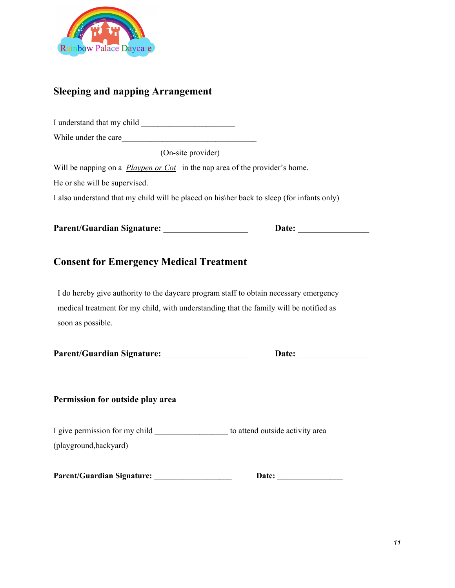

## **Sleeping and napping Arrangement**

| While under the care                                                                                                                    |  |
|-----------------------------------------------------------------------------------------------------------------------------------------|--|
| (On-site provider)                                                                                                                      |  |
| Will be napping on a <i>Playpen or Cot</i> in the nap area of the provider's home.                                                      |  |
| He or she will be supervised.                                                                                                           |  |
| I also understand that my child will be placed on his her back to sleep (for infants only)                                              |  |
| Parent/Guardian Signature: _____________________                                                                                        |  |
|                                                                                                                                         |  |
|                                                                                                                                         |  |
| <b>Consent for Emergency Medical Treatment</b><br>I do hereby give authority to the daycare program staff to obtain necessary emergency |  |
| medical treatment for my child, with understanding that the family will be notified as<br>soon as possible.                             |  |

#### **Permission for outside play area**

I give permission for my child \_\_\_\_\_\_\_\_\_\_\_\_\_\_\_\_\_\_ to attend outside activity area (playground,backyard)

| <b>Parent/Guardian Signature:</b> | Date: |
|-----------------------------------|-------|
|-----------------------------------|-------|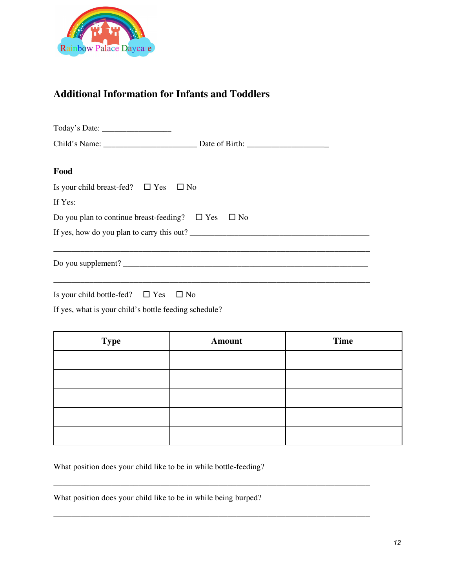

#### **Additional Information for Infants and Toddlers**

| Food                                                         |  |
|--------------------------------------------------------------|--|
| Is your child breast-fed? $\square$ Yes $\square$ No         |  |
| If Yes:                                                      |  |
| Do you plan to continue breast-feeding? $\Box$ Yes $\Box$ No |  |
| If yes, how do you plan to carry this out?                   |  |
|                                                              |  |
| Do you supplement?                                           |  |
|                                                              |  |
|                                                              |  |

Is your child bottle-fed?  $\Box$  Yes  $\Box$  No

If yes, what is your child's bottle feeding schedule?

| <b>Type</b> | <b>Amount</b> | <b>Time</b> |
|-------------|---------------|-------------|
|             |               |             |
|             |               |             |
|             |               |             |
|             |               |             |
|             |               |             |

\_\_\_\_\_\_\_\_\_\_\_\_\_\_\_\_\_\_\_\_\_\_\_\_\_\_\_\_\_\_\_\_\_\_\_\_\_\_\_\_\_\_\_\_\_\_\_\_\_\_\_\_\_\_\_\_\_\_\_\_\_\_\_\_\_\_\_\_\_\_\_

\_\_\_\_\_\_\_\_\_\_\_\_\_\_\_\_\_\_\_\_\_\_\_\_\_\_\_\_\_\_\_\_\_\_\_\_\_\_\_\_\_\_\_\_\_\_\_\_\_\_\_\_\_\_\_\_\_\_\_\_\_\_\_\_\_\_\_\_\_\_\_

What position does your child like to be in while bottle-feeding?

What position does your child like to be in while being burped?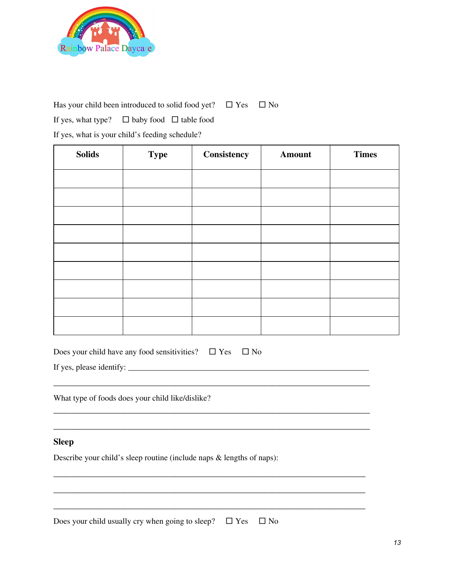

Has your child been introduced to solid food yet?  $\Box$  Yes  $\Box$  No

If yes, what type?  $\Box$  baby food  $\Box$  table food

If yes, what is your child's feeding schedule?

| <b>Solids</b> | <b>Type</b> | Consistency | <b>Amount</b> | <b>Times</b> |
|---------------|-------------|-------------|---------------|--------------|
|               |             |             |               |              |
|               |             |             |               |              |
|               |             |             |               |              |
|               |             |             |               |              |
|               |             |             |               |              |
|               |             |             |               |              |
|               |             |             |               |              |
|               |             |             |               |              |
|               |             |             |               |              |

| Does your child have any food sensitivities? $\Box$ Yes $\Box$ No |  |  |
|-------------------------------------------------------------------|--|--|
|                                                                   |  |  |

\_\_\_\_\_\_\_\_\_\_\_\_\_\_\_\_\_\_\_\_\_\_\_\_\_\_\_\_\_\_\_\_\_\_\_\_\_\_\_\_\_\_\_\_\_\_\_\_\_\_\_\_\_\_\_\_\_\_\_\_\_\_\_\_\_\_\_\_\_\_\_

\_\_\_\_\_\_\_\_\_\_\_\_\_\_\_\_\_\_\_\_\_\_\_\_\_\_\_\_\_\_\_\_\_\_\_\_\_\_\_\_\_\_\_\_\_\_\_\_\_\_\_\_\_\_\_\_\_\_\_\_\_\_\_\_\_\_\_\_\_\_\_

\_\_\_\_\_\_\_\_\_\_\_\_\_\_\_\_\_\_\_\_\_\_\_\_\_\_\_\_\_\_\_\_\_\_\_\_\_\_\_\_\_\_\_\_\_\_\_\_\_\_\_\_\_\_\_\_\_\_\_\_\_\_\_\_\_\_\_\_\_\_

\_\_\_\_\_\_\_\_\_\_\_\_\_\_\_\_\_\_\_\_\_\_\_\_\_\_\_\_\_\_\_\_\_\_\_\_\_\_\_\_\_\_\_\_\_\_\_\_\_\_\_\_\_\_\_\_\_\_\_\_\_\_\_\_\_\_\_\_\_\_

\_\_\_\_\_\_\_\_\_\_\_\_\_\_\_\_\_\_\_\_\_\_\_\_\_\_\_\_\_\_\_\_\_\_\_\_\_\_\_\_\_\_\_\_\_\_\_\_\_\_\_\_\_\_\_\_\_\_\_\_\_\_\_\_\_\_\_\_\_\_

\_\_\_\_\_\_\_\_\_\_\_\_\_\_\_\_\_\_\_\_\_\_\_\_\_\_\_\_\_\_\_\_\_\_\_\_\_\_\_\_\_\_\_\_\_\_\_\_\_\_\_\_\_\_\_\_\_\_\_\_\_\_\_\_\_\_\_\_\_\_\_

If yes, please identify:  $\frac{1}{2}$  is the set of the set of the set of the set of the set of the set of the set of the set of the set of the set of the set of the set of the set of the set of the set of the set of the set

What type of foods does your child like/dislike?

#### **Sleep**

Describe your child's sleep routine (include naps & lengths of naps):

Does your child usually cry when going to sleep?  $\Box$  Yes  $\Box$  No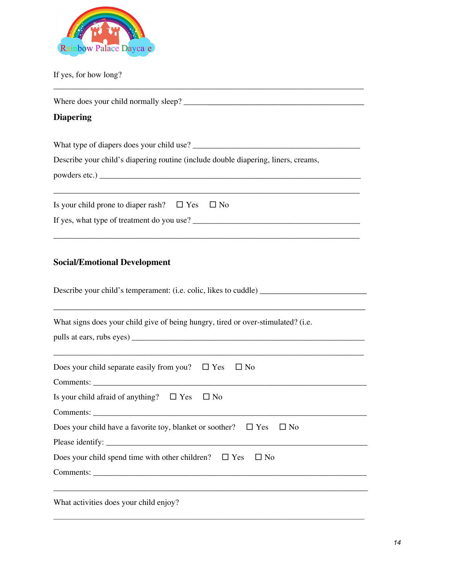

If yes, for how long?

| Where does your child normally sleep?                                                                                           |
|---------------------------------------------------------------------------------------------------------------------------------|
| <b>Diapering</b>                                                                                                                |
| What type of diapers does your child use?<br>Describe your child's diapering routine (include double diapering, liners, creams, |
| Is your child prone to diaper rash? $\Box$ Yes $\Box$ No<br>If yes, what type of treatment do you use?                          |

\_\_\_\_\_\_\_\_\_\_\_\_\_\_\_\_\_\_\_\_\_\_\_\_\_\_\_\_\_\_\_\_\_\_\_\_\_\_\_\_\_\_\_\_\_\_\_\_\_\_\_\_\_\_\_\_\_\_\_\_\_\_\_\_\_\_\_\_\_\_\_\_\_\_\_\_

## **Social/Emotional Development**

| Describe your child's temperament: (i.e. colic, likes to cuddle)                                                                                                      |
|-----------------------------------------------------------------------------------------------------------------------------------------------------------------------|
| ,他们的人们也不能在这里,他们的人们也不能在这里,他们的人们也不能在这里,他们的人们也不能在这里,他们的人们也不能在这里,他们的人们也不能在这里,他们的人们也不能<br>What signs does your child give of being hungry, tired or over-stimulated? (i.e. |
| Does your child separate easily from you? $\Box$ Yes<br>$\Box$ No                                                                                                     |
| Is your child afraid of anything? $\Box$ Yes $\Box$ No                                                                                                                |
| Does your child have a favorite toy, blanket or soother? $\square$ Yes<br>$\square$ No                                                                                |
| Does your child spend time with other children? $\square$ Yes<br>$\Box$ No                                                                                            |
| <u> 1989 - Johann Barn, mars ar breithinn ar cheangail ann an cheangail ann an cheangail ann an cheangail ann an c</u><br>What activities does your child enjoy?      |